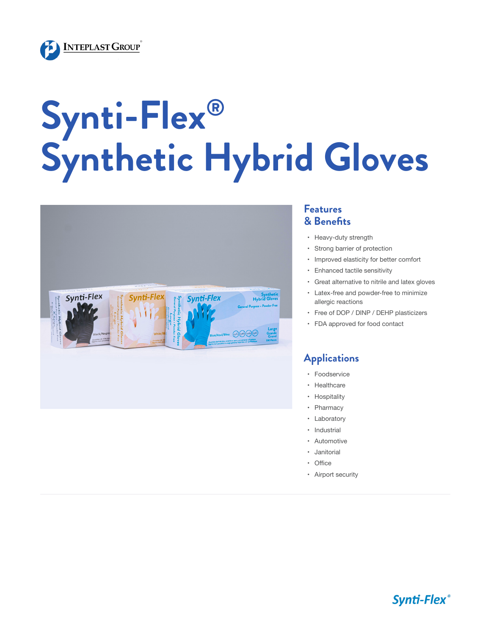

# **Synti-Flex® Synthetic Hybrid Gloves**



#### **Features & Benefits**

- • Heavy-duty strength
- • Strong barrier of protection
- • Improved elasticity for better comfort
- • Enhanced tactile sensitivity
- • Great alternative to nitrile and latex gloves
- • Latex-free and powder-free to minimize allergic reactions
- • Free of DOP / DINP / DEHP plasticizers
- • FDA approved for food contact

#### **Applications**

- • Foodservice
- • Healthcare
- • Hospitality
- • Pharmacy
- • Laboratory
- • Industrial
- • Automotive
- • Janitorial
- • Office
- • Airport security